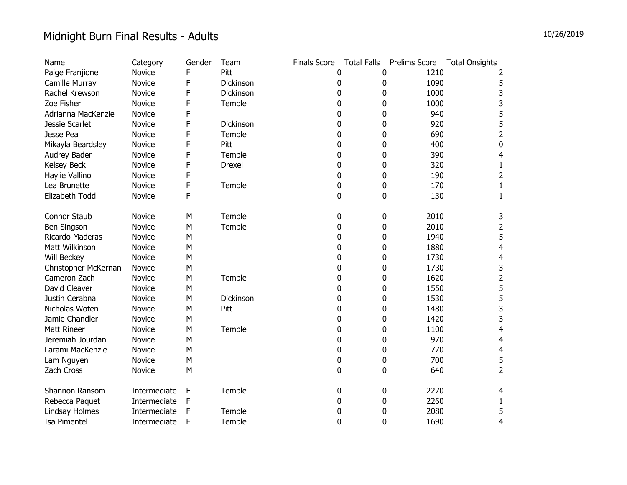| Name                 | Category     | Gender | Team          | <b>Finals Score</b> | <b>Total Falls</b> | Prelims Score | <b>Total Onsights</b>   |
|----------------------|--------------|--------|---------------|---------------------|--------------------|---------------|-------------------------|
| Paige Franjione      | Novice       | F      | Pitt          | 0                   | 0                  | 1210          | 2                       |
| Camille Murray       | Novice       | F      | Dickinson     | 0                   | 0                  | 1090          | 5                       |
| Rachel Krewson       | Novice       | F      | Dickinson     | 0                   | 0                  | 1000          | 3                       |
| Zoe Fisher           | Novice       | F      | Temple        | 0                   | 0                  | 1000          | 3                       |
| Adrianna MacKenzie   | Novice       | F      |               | 0                   | 0                  | 940           | 5                       |
| Jessie Scarlet       | Novice       | F      | Dickinson     | 0                   | 0                  | 920           | 5                       |
| Jesse Pea            | Novice       | F      | Temple        | 0                   | 0                  | 690           | 2                       |
| Mikayla Beardsley    | Novice       | F      | Pitt          | 0                   | 0                  | 400           | 0                       |
| Audrey Bader         | Novice       | F      | Temple        | 0                   | 0                  | 390           | 4                       |
| Kelsey Beck          | Novice       | F      | <b>Drexel</b> | 0                   | 0                  | 320           | 1                       |
| Haylie Vallino       | Novice       | F      |               | 0                   | 0                  | 190           | $\overline{2}$          |
| Lea Brunette         | Novice       | F      | Temple        | 0                   | 0                  | 170           | 1                       |
| Elizabeth Todd       | Novice       | F      |               | 0                   | 0                  | 130           | $\mathbf 1$             |
| <b>Connor Staub</b>  | Novice       | M      | Temple        | 0                   | 0                  | 2010          | 3                       |
| Ben Singson          | Novice       | M      | Temple        | 0                   | 0                  | 2010          | $\overline{c}$          |
| Ricardo Maderas      | Novice       | M      |               | 0                   | 0                  | 1940          | 5                       |
| Matt Wilkinson       | Novice       | M      |               | 0                   | 0                  | 1880          | $\overline{4}$          |
| Will Beckey          | Novice       | M      |               | 0                   | 0                  | 1730          | $\overline{4}$          |
| Christopher McKernan | Novice       | M      |               | 0                   | 0                  | 1730          | 3                       |
| Cameron Zach         | Novice       | M      | Temple        | 0                   | 0                  | 1620          | $\overline{\mathbf{c}}$ |
| David Cleaver        | Novice       | M      |               | 0                   | 0                  | 1550          | 5                       |
| Justin Cerabna       | Novice       | M      | Dickinson     | 0                   | 0                  | 1530          | 5                       |
| Nicholas Woten       | Novice       | M      | Pitt          | 0                   | 0                  | 1480          | 3                       |
| Jamie Chandler       | Novice       | M      |               | 0                   | 0                  | 1420          | 3                       |
| <b>Matt Rineer</b>   | Novice       | M      | Temple        | 0                   | 0                  | 1100          | 4                       |
| Jeremiah Jourdan     | Novice       | M      |               | 0                   | 0                  | 970           | 4                       |
| Larami MacKenzie     | Novice       | M      |               | 0                   | 0                  | 770           | $\overline{4}$          |
| Lam Nguyen           | Novice       | M      |               | 0                   | 0                  | 700           | 5                       |
| Zach Cross           | Novice       | M      |               | 0                   | 0                  | 640           | $\overline{2}$          |
| Shannon Ransom       | Intermediate | F      | Temple        | 0                   | 0                  | 2270          | 4                       |
| Rebecca Paquet       | Intermediate | F      |               | 0                   | 0                  | 2260          | 1                       |
| Lindsay Holmes       | Intermediate | F      | Temple        | 0                   | 0                  | 2080          | 5                       |
| Isa Pimentel         | Intermediate | F      | Temple        | 0                   | 0                  | 1690          | 4                       |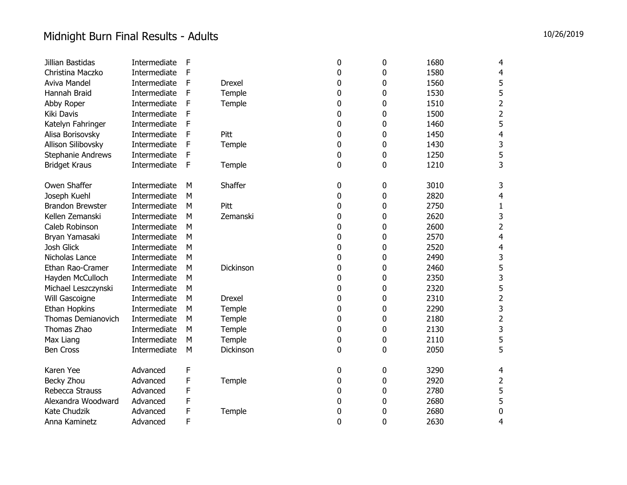| Jillian Bastidas          | Intermediate | F |               | 0 | 0 | 1680 | 4                       |
|---------------------------|--------------|---|---------------|---|---|------|-------------------------|
| Christina Maczko          | Intermediate | F |               | 0 | 0 | 1580 | 4                       |
| Aviva Mandel              | Intermediate | F | Drexel        | 0 | 0 | 1560 | 5                       |
| Hannah Braid              | Intermediate | F | Temple        | 0 | 0 | 1530 | 5                       |
| Abby Roper                | Intermediate | F | Temple        | 0 | 0 | 1510 | $\overline{2}$          |
| Kiki Davis                | Intermediate | F |               | 0 | 0 | 1500 | $\overline{2}$          |
| Katelyn Fahringer         | Intermediate | F |               | 0 | 0 | 1460 | 5                       |
| Alisa Borisovsky          | Intermediate | F | Pitt          | 0 | 0 | 1450 | 4                       |
| Allison Silibovsky        | Intermediate | F | Temple        | 0 | 0 | 1430 | 3                       |
| Stephanie Andrews         | Intermediate | F |               | 0 | 0 | 1250 | 5                       |
| <b>Bridget Kraus</b>      | Intermediate | F | Temple        | 0 | 0 | 1210 | 3                       |
| Owen Shaffer              | Intermediate | M | Shaffer       | 0 | 0 | 3010 | 3                       |
| Joseph Kuehl              | Intermediate | M |               | 0 | 0 | 2820 | 4                       |
| <b>Brandon Brewster</b>   | Intermediate | M | Pitt          | 0 | 0 | 2750 | $\mathbf{1}$            |
| Kellen Zemanski           | Intermediate | M | Zemanski      | 0 | 0 | 2620 | 3                       |
| Caleb Robinson            | Intermediate | M |               | 0 | 0 | 2600 | $\overline{2}$          |
| Bryan Yamasaki            | Intermediate | M |               | 0 | 0 | 2570 | 4                       |
| Josh Glick                | Intermediate | M |               | 0 | 0 | 2520 | 4                       |
| Nicholas Lance            | Intermediate | M |               | 0 | 0 | 2490 | 3                       |
| Ethan Rao-Cramer          | Intermediate | M | Dickinson     | 0 | 0 | 2460 | 5                       |
| Hayden McCulloch          | Intermediate | M |               | 0 | 0 | 2350 | 3                       |
| Michael Leszczynski       | Intermediate | M |               | 0 | 0 | 2320 | 5                       |
| Will Gascoigne            | Intermediate | M | <b>Drexel</b> | 0 | 0 | 2310 | $\overline{c}$          |
| Ethan Hopkins             | Intermediate | M | Temple        | 0 | 0 | 2290 | 3                       |
| <b>Thomas Demianovich</b> | Intermediate | M | Temple        | 0 | 0 | 2180 | $\overline{\mathbf{c}}$ |
| Thomas Zhao               | Intermediate | M | Temple        | 0 | 0 | 2130 | 3                       |
| Max Liang                 | Intermediate | M | Temple        | 0 | 0 | 2110 | 5                       |
| <b>Ben Cross</b>          | Intermediate | M | Dickinson     | 0 | 0 | 2050 | 5                       |
| Karen Yee                 | Advanced     | F |               | 0 | 0 | 3290 | 4                       |
| Becky Zhou                | Advanced     | F | Temple        | 0 | 0 | 2920 | $\overline{\mathbf{c}}$ |
| Rebecca Strauss           | Advanced     | F |               | 0 | 0 | 2780 | 5                       |
| Alexandra Woodward        | Advanced     | F |               | 0 | 0 | 2680 | 5                       |
| Kate Chudzik              | Advanced     | F | Temple        | 0 | 0 | 2680 | $\mathbf 0$             |
| Anna Kaminetz             | Advanced     | F |               | 0 | 0 | 2630 | 4                       |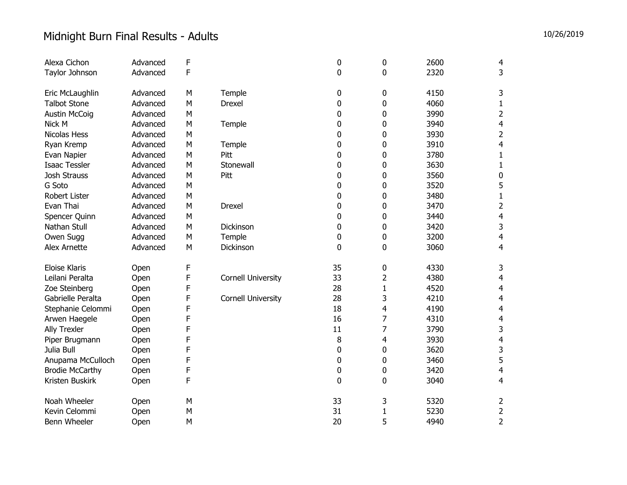| Alexa Cichon           | Advanced | F      |                           | 0           | 0              | 2600 | 4                       |
|------------------------|----------|--------|---------------------------|-------------|----------------|------|-------------------------|
| Taylor Johnson         | Advanced | F      |                           | 0           | 0              | 2320 | 3                       |
|                        |          |        |                           |             |                |      |                         |
| Eric McLaughlin        | Advanced | M      | Temple                    | 0           | 0              | 4150 | 3                       |
| <b>Talbot Stone</b>    | Advanced | M      | <b>Drexel</b>             | 0           | 0              | 4060 | $\mathbf{1}$            |
| <b>Austin McCoig</b>   | Advanced | M      |                           | 0           | 0              | 3990 | $\overline{2}$          |
| Nick M                 | Advanced | M      | Temple                    | 0           | 0              | 3940 | 4                       |
| Nicolas Hess           | Advanced | M      |                           | 0           | 0              | 3930 | $\overline{\mathbf{c}}$ |
| Ryan Kremp             | Advanced | M      | Temple                    | 0           | 0              | 3910 | 4                       |
| Evan Napier            | Advanced | M      | Pitt                      | 0           | 0              | 3780 | $\mathbf{1}$            |
| <b>Isaac Tessler</b>   | Advanced | M      | Stonewall                 | 0           | 0              | 3630 | $\mathbf{1}$            |
| Josh Strauss           | Advanced | M      | Pitt                      | $\mathbf 0$ | 0              | 3560 | $\pmb{0}$               |
| G Soto                 | Advanced | M      |                           | 0           | 0              | 3520 | 5                       |
| <b>Robert Lister</b>   | Advanced | M      |                           | 0           | 0              | 3480 | $\mathbf{1}$            |
| Evan Thai              | Advanced | M      | Drexel                    | 0           | 0              | 3470 | $\overline{2}$          |
| Spencer Quinn          | Advanced | M      |                           | 0           | 0              | 3440 | 4                       |
| Nathan Stull           | Advanced | M      | Dickinson                 | 0           | 0              | 3420 | 3                       |
| Owen Sugg              | Advanced | M      | Temple                    | 0           | 0              | 3200 | $\overline{\mathbf{4}}$ |
| Alex Arnette           | Advanced | M      | Dickinson                 | 0           | 0              | 3060 | 4                       |
| <b>Eloise Klaris</b>   |          | F      |                           | 35          |                | 4330 |                         |
| Leilani Peralta        | Open     | F      |                           | 33          | 0              | 4380 | 3                       |
|                        | Open     |        | Cornell University        |             | $\overline{2}$ |      | 4                       |
| Zoe Steinberg          | Open     | F<br>F |                           | 28          | $\mathbf{1}$   | 4520 | 4                       |
| Gabrielle Peralta      | Open     |        | <b>Cornell University</b> | 28          | 3              | 4210 | 4                       |
| Stephanie Celommi      | Open     | F      |                           | 18<br>16    | 4              | 4190 | 4                       |
| Arwen Haegele          | Open     | F      |                           |             | 7              | 4310 | 4                       |
| Ally Trexler           | Open     | F<br>F |                           | 11          | 7              | 3790 | 3                       |
| Piper Brugmann         | Open     |        |                           | 8           | 4              | 3930 | 4                       |
| Julia Bull             | Open     | F      |                           | 0           | 0              | 3620 | 3                       |
| Anupama McCulloch      | Open     | F      |                           | 0           | 0              | 3460 | 5                       |
| <b>Brodie McCarthy</b> | Open     | F      |                           | 0           | 0              | 3420 | 4                       |
| Kristen Buskirk        | Open     | F      |                           | 0           | 0              | 3040 | 4                       |
| Noah Wheeler           | Open     | M      |                           | 33          | 3              | 5320 | 2                       |
| Kevin Celommi          | Open     | M      |                           | 31          | $\mathbf{1}$   | 5230 | 2                       |
| Benn Wheeler           | Open     | M      |                           | 20          | 5              | 4940 | $\overline{2}$          |